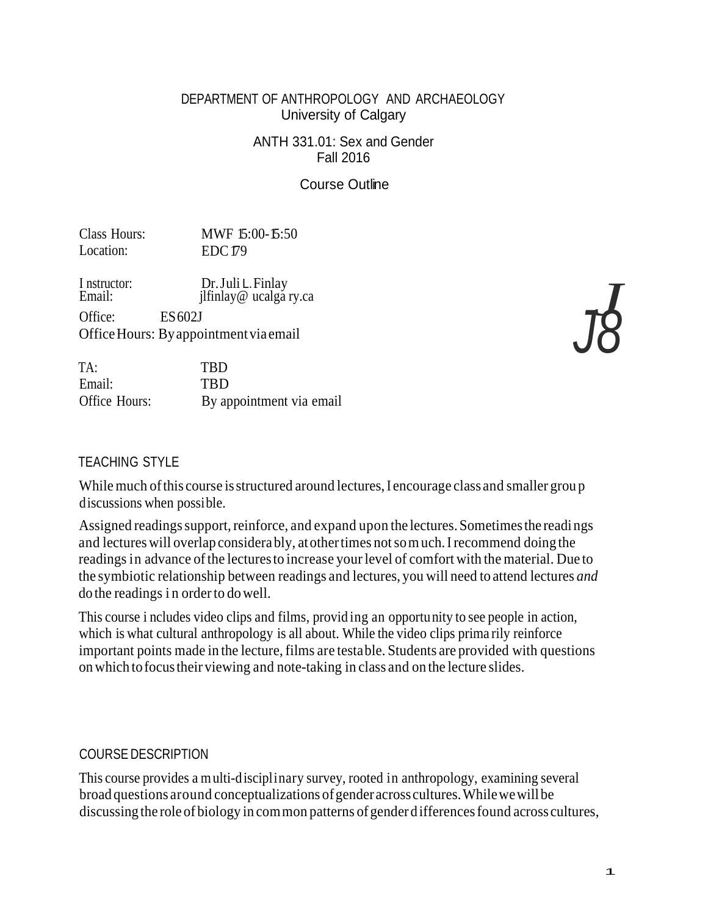DEPARTMENT OF ANTHROPOLOGY AND ARCHAEOLOGY University of Calgary

> ANTH 331.01: Sex and Gender Fall 2016

> > Course Outline

Class Hours: MWF 15:00-15:50 Location: EDC 179

I nstructor: <br>
Email: [Dr.Juli L.Finlay]<br>
[Ifinlay@ ucalga ry.ca] Office: ES 602J OfficeHours: Byappointmentvia email

TA: TBD Email: TBD Office Hours: By appointment via email

### TEACHING STYLE

While much of this course is structured around lectures, I encourage class and smaller group discussions when possible.

Assigned readings support, reinforce, and expand upon the lectures. Sometimes the readings and lectures will overlap considerably, atothertimes notsomuch.I recommend doing the readings in advance of the lectures to increase your level of comfort with the material. Due to the symbiotic relationship between readings and lectures, you will need to attend lectures *and* do the readings i n orderto dowell.

This course i ncludes video clips and films, provid ing an opportunity to see people in action, which is what cultural anthropology is all about. While the video clips prima rily reinforce important points made in the lecture, films are testable. Students are provided with questions on which tofocustheir viewing and note-taking in class and on the lecture slides.

### COURSE DESCRIPTION

This course provides a multi-disciplinary survey, rooted in anthropology, examining several broad questions around conceptualizations of gender across cultures. While we will be discussing the role of biology in common patterns of gender differences found across cultures,

*J8J*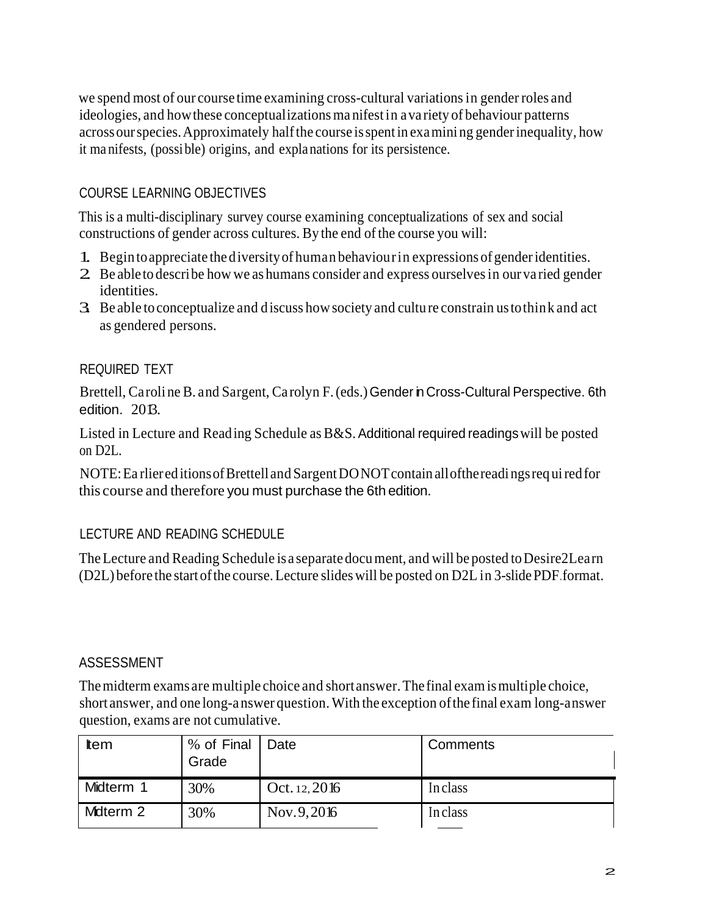we spend most of our course time examining cross-cultural variationsin genderroles and ideologies, and how these conceptualizations manifest in a variety of behaviour patterns acrossourspecies.Approximately halfthe course isspentin examini ng genderinequality, how it ma nifests, (possible) origins, and explanations for its persistence.

# COURSE LEARNING OBJECTIVES

This is a multi-disciplinary survey course examining conceptualizations of sex and social constructions of gender across cultures. By the end of the course you will:

- 1. Begin toappreciate thediversityof human behaviourin expressions of genderidentities.
- 2. Be able to describe how we as humans consider and express ourselvesin ourva ried gender identities.
- 3. Be able to conceptualize and discuss howsociety and cultu re constrain ustothink and act as gendered persons.

# REQUIRED TEXT

Brettell, Caroli ne B. and Sargent, Carolyn F. (eds.) Gender in Cross-Cultural Perspective. 6th edition. 2013.

Listed in Lecture and Reading Schedule as B&S. Additional required readingswill be posted on D2L.

NOTE: Ea rliered itions of Brettell and Sargent DONOT contain all of the readings required for this course and therefore you must purchase the 6th edition.

# LECTURE AND READING SCHEDULE

The Lecture and Reading Schedule is a separate document, and will be posted to Desire2Learn (D2L) before the start ofthe course.Lecture slideswill be posted on D2L in 3-slidePDF.format.

# ASSESSMENT

Themidterm exams are multiple choice and shortanswer.The final examismultiple choice, short answer, and one long-a nswer question.With the exception ofthe final exam long-answer question, exams are not cumulative.

| tem       | % of Final   Date<br>Grade |                | Comments |
|-----------|----------------------------|----------------|----------|
| Midterm 1 | 30%                        | Oct. $12,2016$ | Inclass  |
| Mdterm 2  | 30%                        | Nov. $9,2016$  | Inclass  |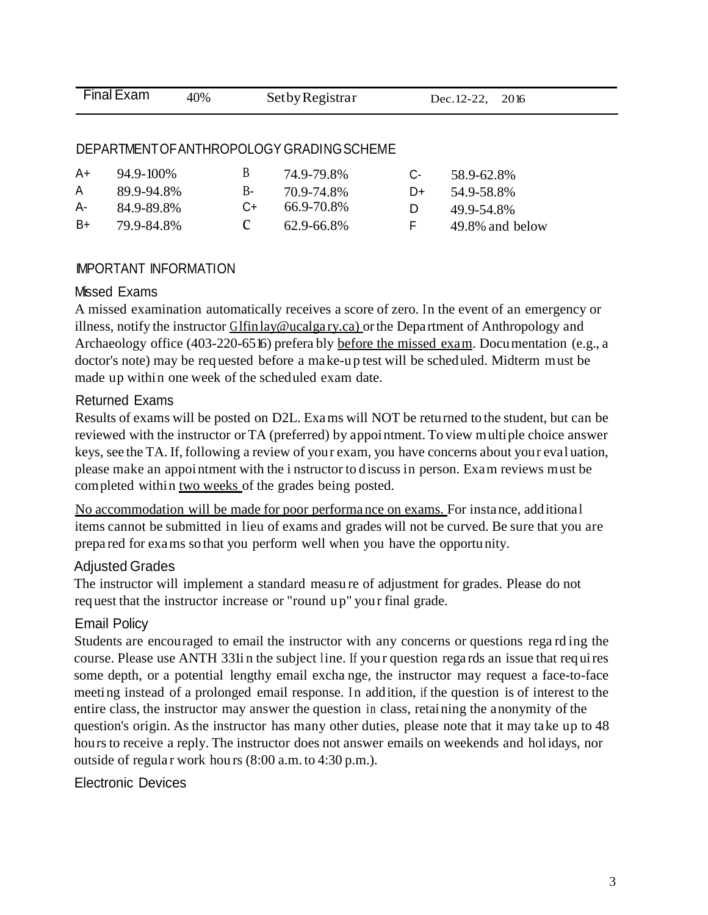| Final Exam | 40% | Set by Registrar | Dec. 12-22, 2016 |  |
|------------|-----|------------------|------------------|--|
|            |     |                  |                  |  |

#### DEPARTMENTOFANTHROPOLOGY GRADINGSCHEME

| A+ | $94.9 - 100\%$ | В      | 74.9-79.8% | $C_{\tau}$ | 58.9-62.8%      |
|----|----------------|--------|------------|------------|-----------------|
| A  | 89.9-94.8%     | B-     | 70.9-74.8% | $D+$       | 54.9-58.8%      |
| A- | 84.9-89.8%     | $( )+$ | 66.9-70.8% | $\Box$     | 49.9-54.8%      |
| B+ | 79.9-84.8%     |        | 62.9-66.8% | н.         | 49.8% and below |

### IMPORTANT INFORMATION

#### Missed Exams

A missed examination automatically receives a score of zero. In the event of an emergency or illness, notify the instructor Glfinlay@ucalgary.ca) or the Department of Anthropology and Archaeology office (403-220-6516) prefera bly before the missed exam. Documentation (e.g., a doctor's note) may be req uested before a make-u p test will be scheduled. Midterm must be made up within one week of the scheduled exam date.

#### Returned Exams

Results of exams will be posted on D2L. Exams will NOT be returned to the student, but can be reviewed with the instructor or TA (preferred) by appointment. To view multiple choice answer keys, see the TA. If, following a review of your exam, you have concerns about your eval uation, please make an appointment with the i nstructor to discuss in person. Exam reviews must be completed within two weeks of the grades being posted.

No accommodation will be made for poor performa nce on exams. For instance, additiona l items cannot be submitted in lieu of exams and grades will not be curved. Be sure that you are prepa red for exams so that you perform well when you have the opportu nity.

#### Adjusted Grades

The instructor will implement a standard measu re of adjustment for grades. Please do not req uest that the instructor increase or "round u p" you r final grade.

#### Email Policy

Students are encouraged to email the instructor with any concerns or questions rega rd ing the course. Please use ANTH 331i n the subject line. If you r question rega rds an issue that requires some depth, or a potential lengthy email excha nge, the instructor may request a face-to-face meeting instead of a prolonged email response. In addition, if the question is of interest to the entire class, the instructor may answer the question in class, retaining the anonymity of the question's origin. As the instructor has many other duties, please note that it may take up to 48 hours to receive a reply. The instructor does not answer emails on weekends and holidays, nor outside of regula r work hou rs (8:00 a.m. to 4:30 p.m.).

#### Electronic Devices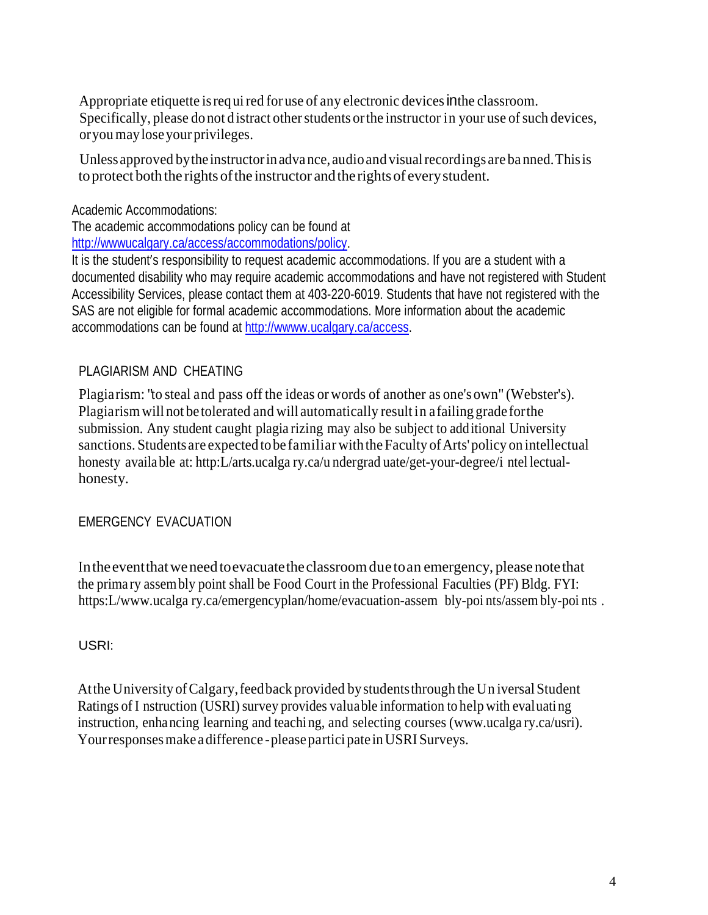Appropriate etiquette is required for use of any electronic devices in the classroom. Specifically, please do not distract other students or the instructor in your use of such devices, oryoumayloseyourprivileges.

Unless approved by the instructor in advance, audio and visual recordings are banned. This is to protect both the rights of the instructor and the rights of every student.

Academic Accommodations:

The academic accommodations policy can be found at [http://wwwucalgary.ca/access/accommodations/policy.](http://wwwucalgary.ca/access/accommodations/policy)

It is the student's responsibility to request academic accommodations. If you are a student with a documented disability who may require academic accommodations and have not registered with Student Accessibility Services, please contact them at 403-220-6019. Students that have not registered with the SAS are not eligible for formal academic accommodations. More information about the academic accommodations can be found at [http://wwww.ucalgary.ca/access.](http://wwww.ucalgary.ca/access)

# PLAGIARISM AND CHEATING

Plagiarism: "to steal and pass off the ideas or words of another as one's own" (Webster's). Plagiarismwill not be tolerated and will automatically result in afailing grade forthe submission. Any student caught plagia rizing may also be subject to additional University sanctions. Students are expected to be familiar with the Faculty of Arts' policy on intellectual honesty available at: http:L/arts.ucalga ry.ca/u ndergrad uate/get-your-degree/i ntel lectualhonesty.

### EMERGENCY EVACUATION

In the event that we need to evacuate the classroom due to an emergency, please note that the prima ry assembly point shall be Food Court in the Professional Faculties (PF) Bldg. FYI: https: L/www.ucalga ry.ca/emergencyplan/home/evacuation-assem bly-poi nts/assembly-poi nts.

USRI:

At the University of Calgary, feed back provided by students through the Universal Student Ratings of I nstruction (USRI) survey provides valuable information to help with evaluating instruction, enhancing learning and teaching, and selecting courses (www.ucalga ry.ca/usri). Your responses make a difference - please partici pate in USRI Surveys.